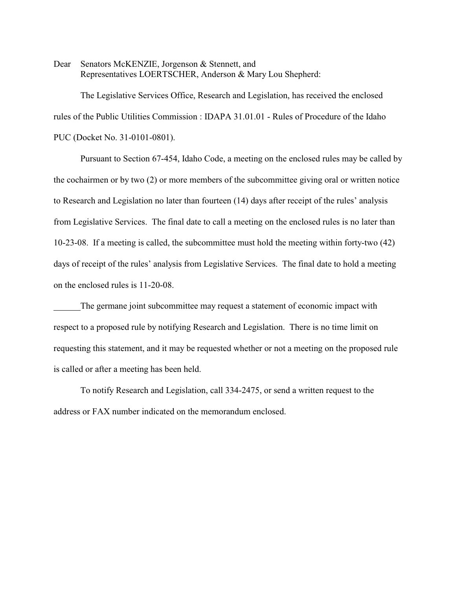Dear Senators McKENZIE, Jorgenson & Stennett, and Representatives LOERTSCHER, Anderson & Mary Lou Shepherd:

The Legislative Services Office, Research and Legislation, has received the enclosed rules of the Public Utilities Commission : IDAPA 31.01.01 - Rules of Procedure of the Idaho PUC (Docket No. 31-0101-0801).

Pursuant to Section 67-454, Idaho Code, a meeting on the enclosed rules may be called by the cochairmen or by two (2) or more members of the subcommittee giving oral or written notice to Research and Legislation no later than fourteen (14) days after receipt of the rules' analysis from Legislative Services. The final date to call a meeting on the enclosed rules is no later than 10-23-08. If a meeting is called, the subcommittee must hold the meeting within forty-two (42) days of receipt of the rules' analysis from Legislative Services. The final date to hold a meeting on the enclosed rules is 11-20-08.

The germane joint subcommittee may request a statement of economic impact with respect to a proposed rule by notifying Research and Legislation. There is no time limit on requesting this statement, and it may be requested whether or not a meeting on the proposed rule is called or after a meeting has been held.

To notify Research and Legislation, call 334-2475, or send a written request to the address or FAX number indicated on the memorandum enclosed.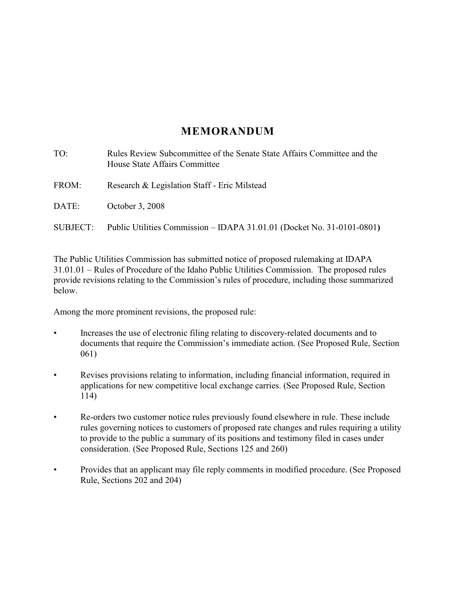# **MEMORANDUM**

| TO:      | Rules Review Subcommittee of the Senate State Affairs Committee and the<br>House State Affairs Committee |
|----------|----------------------------------------------------------------------------------------------------------|
| FROM:    | Research & Legislation Staff - Eric Milstead                                                             |
| DATE:    | October 3, 2008                                                                                          |
| SUBJECT: | Public Utilities Commission – IDAPA 31.01.01 (Docket No. 31-0101-0801)                                   |

The Public Utilities Commission has submitted notice of proposed rulemaking at IDAPA 31.01.01 – Rules of Procedure of the Idaho Public Utilities Commission. The proposed rules provide revisions relating to the Commission's rules of procedure, including those summarized below.

Among the more prominent revisions, the proposed rule:

- Increases the use of electronic filing relating to discovery-related documents and to documents that require the Commission's immediate action. (See Proposed Rule, Section 061)
- Revises provisions relating to information, including financial information, required in applications for new competitive local exchange carries. (See Proposed Rule, Section 114)
- Re-orders two customer notice rules previously found elsewhere in rule. These include rules governing notices to customers of proposed rate changes and rules requiring a utility to provide to the public a summary of its positions and testimony filed in cases under consideration. (See Proposed Rule, Sections 125 and 260)
- Provides that an applicant may file reply comments in modified procedure. (See Proposed Rule, Sections 202 and 204)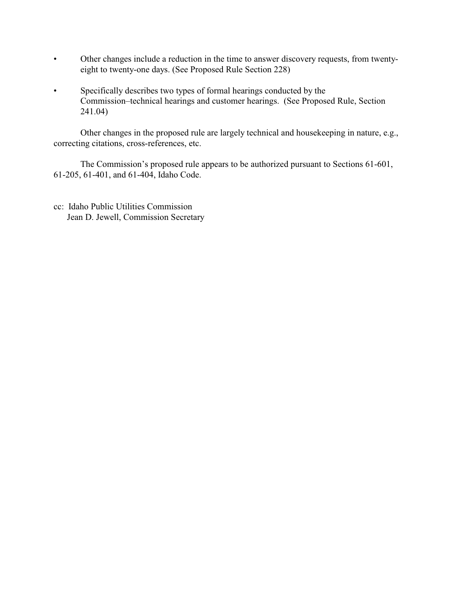- Other changes include a reduction in the time to answer discovery requests, from twentyeight to twenty-one days. (See Proposed Rule Section 228)
- Specifically describes two types of formal hearings conducted by the Commission–technical hearings and customer hearings. (See Proposed Rule, Section 241.04)

Other changes in the proposed rule are largely technical and housekeeping in nature, e.g., correcting citations, cross-references, etc.

The Commission's proposed rule appears to be authorized pursuant to Sections 61-601, 61-205, 61-401, and 61-404, Idaho Code.

cc: Idaho Public Utilities Commission Jean D. Jewell, Commission Secretary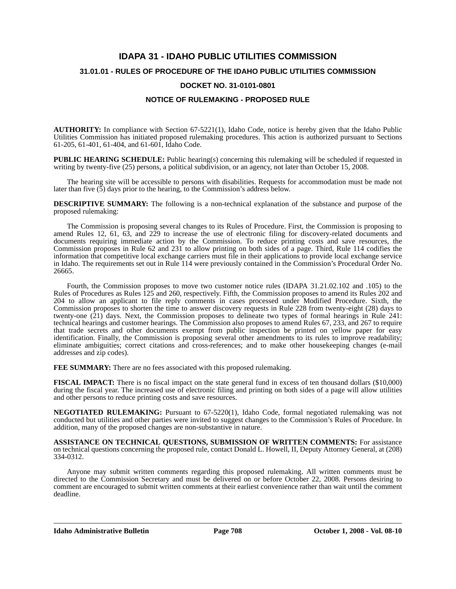# **IDAPA 31 - IDAHO PUBLIC UTILITIES COMMISSION 31.01.01 - RULES OF PROCEDURE OF THE IDAHO PUBLIC UTILITIES COMMISSION DOCKET NO. 31-0101-0801**

### **NOTICE OF RULEMAKING - PROPOSED RULE**

**AUTHORITY:** In compliance with Section 67-5221(1), Idaho Code, notice is hereby given that the Idaho Public Utilities Commission has initiated proposed rulemaking procedures. This action is authorized pursuant to Sections 61-205, 61-401, 61-404, and 61-601, Idaho Code.

**PUBLIC HEARING SCHEDULE:** Public hearing(s) concerning this rulemaking will be scheduled if requested in writing by twenty-five (25) persons, a political subdivision, or an agency, not later than October 15, 2008.

The hearing site will be accessible to persons with disabilities. Requests for accommodation must be made not later than five  $(5)$  days prior to the hearing, to the Commission's address below.

**DESCRIPTIVE SUMMARY:** The following is a non-technical explanation of the substance and purpose of the proposed rulemaking:

The Commission is proposing several changes to its Rules of Procedure. First, the Commission is proposing to amend Rules 12, 61, 63, and 229 to increase the use of electronic filing for discovery-related documents and documents requiring immediate action by the Commission. To reduce printing costs and save resources, the Commission proposes in Rule 62 and 231 to allow printing on both sides of a page. Third, Rule 114 codifies the information that competitive local exchange carriers must file in their applications to provide local exchange service in Idaho. The requirements set out in Rule 114 were previously contained in the Commission's Procedural Order No. 26665.

Fourth, the Commission proposes to move two customer notice rules (IDAPA 31.21.02.102 and .105) to the Rules of Procedures as Rules 125 and 260, respectively. Fifth, the Commission proposes to amend its Rules 202 and 204 to allow an applicant to file reply comments in cases processed under Modified Procedure. Sixth, the Commission proposes to shorten the time to answer discovery requests in Rule 228 from twenty-eight (28) days to twenty-one (21) days. Next, the Commission proposes to delineate two types of formal hearings in Rule 241: technical hearings and customer hearings. The Commission also proposes to amend Rules 67, 233, and 267 to require that trade secrets and other documents exempt from public inspection be printed on yellow paper for easy identification. Finally, the Commission is proposing several other amendments to its rules to improve readability; eliminate ambiguities; correct citations and cross-references; and to make other housekeeping changes (e-mail addresses and zip codes).

FEE SUMMARY: There are no fees associated with this proposed rulemaking.

**FISCAL IMPACT:** There is no fiscal impact on the state general fund in excess of ten thousand dollars (\$10,000) during the fiscal year. The increased use of electronic filing and printing on both sides of a page will allow utilities and other persons to reduce printing costs and save resources.

**NEGOTIATED RULEMAKING:** Pursuant to 67-5220(1), Idaho Code, formal negotiated rulemaking was not conducted but utilities and other parties were invited to suggest changes to the Commission's Rules of Procedure. In addition, many of the proposed changes are non-substantive in nature.

**ASSISTANCE ON TECHNICAL QUESTIONS, SUBMISSION OF WRITTEN COMMENTS:** For assistance on technical questions concerning the proposed rule, contact Donald L. Howell, II, Deputy Attorney General, at (208) 334-0312.

Anyone may submit written comments regarding this proposed rulemaking. All written comments must be directed to the Commission Secretary and must be delivered on or before October 22, 2008. Persons desiring to comment are encouraged to submit written comments at their earliest convenience rather than wait until the comment deadline.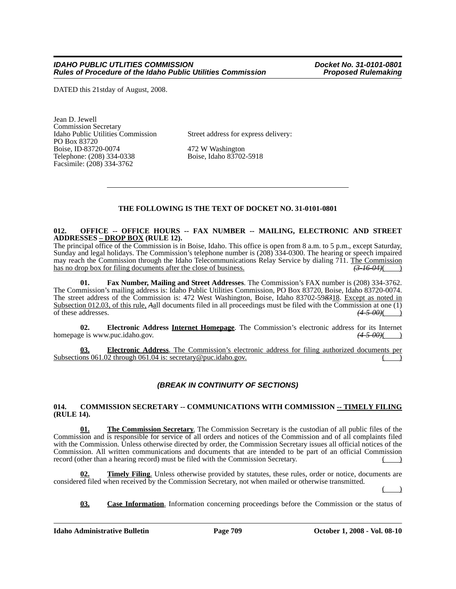DATED this 21stday of August, 2008.

Jean D. Jewell Commission Secretary PO Box 83720 Boise, ID-83720-0074 472 W Washington<br>
Telephone: (208) 334-0338 Boise, Idaho 83702-5918 Telephone: (208) 334-0338 Facsimile: (208) 334-3762

Street address for express delivery:

# **THE FOLLOWING IS THE TEXT OF DOCKET NO. 31-0101-0801**

#### **012. OFFICE -- OFFICE HOURS -- FAX NUMBER -- MAILING, ELECTRONIC AND STREET ADDRESSES – DROP BOX (RULE 12).**

The principal office of the Commission is in Boise, Idaho. This office is open from 8 a.m. to 5 p.m., except Saturday, Sunday and legal holidays. The Commission's telephone number is (208) 334-0300. The hearing or speech impaired may reach the Commission through the Idaho Telecommunications Relay Service by dialing 711. The Commission has no drop box for filing documents after the close of business.  $\left(3\text{-}16\text{-}04\right)$ 

**01. Fax Number, Mailing and Street Addresses**. The Commission's FAX number is (208) 334-3762. The Commission's mailing address is: Idaho Public Utilities Commission, PO Box 83720, Boise, Idaho 83720-0074. The street address of the Commission is: 472 West Washington, Boise, Idaho 83702-59*83*18. Except as noted in Subsection 012.03, of this rule, *A*<sub>a</sub>ll documents filed in all proceedings must be filed with the Commission at one (1) of these addresses. (4-5-00)( of these addresses. *(4-5-00)*( )

**02. Electronic Address Internet Homepage**. The Commission's electronic address for its Internet homepage is www.puc.idaho.gov.  $\left(4-5-00\right)$  (4.4.5)

**03. Electronic Address**. The Commission's electronic address for filing authorized documents per Subsections  $061.02$  through  $061.04$  is: secretary@puc.idaho.gov.

# *(BREAK IN CONTINUITY OF SECTIONS)*

#### 014. COMMISSION SECRETARY -- COMMUNICATIONS WITH COMMISSION -- TIMELY FILING **(RULE 14).**

**01. The Commission Secretary**. The Commission Secretary is the custodian of all public files of the Commission and is responsible for service of all orders and notices of the Commission and of all complaints filed with the Commission. Unless otherwise directed by order, the Commission Secretary issues all official notices of the Commission. All written communications and documents that are intended to be part of an official Commission record (other than a hearing record) must be filed with the Commission Secretary.

**Timely Filing**. Unless otherwise provided by statutes, these rules, order or notice, documents are considered filed when received by the Commission Secretary, not when mailed or otherwise transmitted.  $($  )

**03. Case Information**. Information concerning proceedings before the Commission or the status of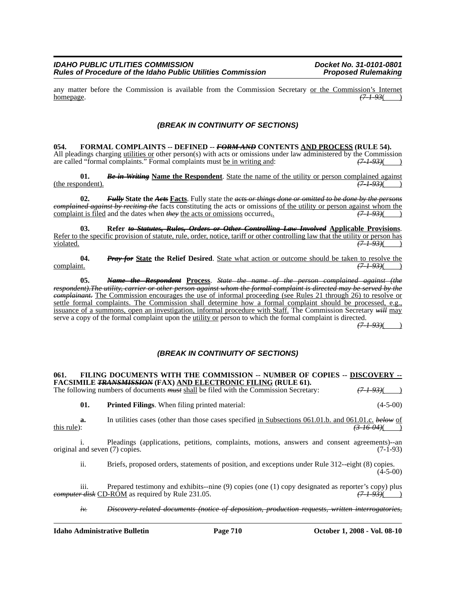any matter before the Commission is available from the Commission Secretary <u>or the Commission's Internet</u><br>homepage.  $(7.193( )$ homepage. *(7-1-93*( )

### *(BREAK IN CONTINUITY OF SECTIONS)*

**054. FORMAL COMPLAINTS -- DEFINED --** *FORM AND* **CONTENTS AND PROCESS (RULE 54).** All pleadings charging <u>utilities or</u> other person(s) with acts or omissions under law administered by the Commission are called "formal complaints." Formal complaints must be in writing and:  $(71-93)$  (7) are called "formal complaints." Formal complaints must be in writing and:

**01.** *Be in Writing* Name the Respondent. State the name of the utility or person complained against ordent).  $(71.93)($ (the respondent).

**02.** *Fully* **State the** *Acts* **Facts**. Fully state the *acts or things done or omitted to be done by the persons complained against by reciting the* facts constituting the acts or omissions of the utility or person against whom the complaint is filed and the dates when *they* the acts or omissions occurred*,*. *(7-1-93)*( )

03. Refer to Statutes, Rules, Orders or Other Controlling Law Involved Applicable Provisions.<br>Refer to the specific provision of statute, rule, order, notice, tariff or other controlling law that the utility or person has violated. *(7-1-93)*( )

**04.** *Pray for* State the Relief Desired. State what action or outcome should be taken to resolve the complaint.  $(7-1-93)($ complaint. *(7-1-93)*( )

**05.** *Name the Respondent* **Process**. *State the name of the person complained against (the respondent).The utility, carrier or other person against whom the formal complaint is directed may be served by the complainant.* The Commission encourages the use of informal proceeding (see Rules 21 through 26) to resolve or settle formal complaints. The Commission shall determine how a formal complaint should be processed, e.g., issuance of a summons, open an investigation, informal procedure with Staff. The Commission Secretary *will* may serve a copy of the formal complaint upon the utility or person to which the formal complaint is directed.

*(7-1-93)*( )

# *(BREAK IN CONTINUITY OF SECTIONS)*

#### **061. FILING DOCUMENTS WITH THE COMMISSION -- NUMBER OF COPIES -- DISCOVERY -- FACSIMILE** *TRANSMISSION* **(FAX) AND ELECTRONIC FILING (RULE 61).**

The following numbers of documents *must* shall be filed with the Commission Secretary:  $(7-1-93)()$ 

**01. Printed Filings**. When filing printed material: (4-5-00)

**a.** In utilities cases (other than those cases specified <u>in Subsections 061.01.b. and 061.01.c.</u> *below* of this rule): *(3-16-04)*( )

i. Pleadings (applications, petitions, complaints, motions, answers and consent agreements)--an and seven (7) copies. (7-1-93) original and seven  $(7)$  copies.

ii. Briefs, proposed orders, statements of position, and exceptions under Rule 312--eight (8) copies.  $(4-5-00)$ 

iii. Prepared testimony and exhibits--nine (9) copies (one (1) copy designated as reporter's copy) plus *computer disk* CD-ROM as required by Rule 231.05. *(7-1-93)*( )

*iv. Discovery-related documents (notice of deposition, production requests, written interrogatories,*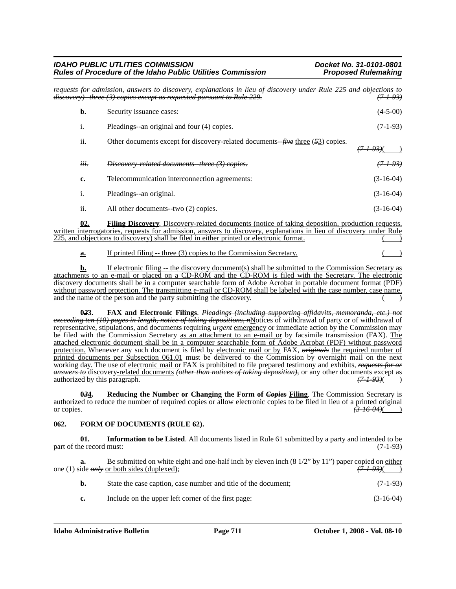| <b>IDAHO PUBLIC UTLITIES COMMISSION</b>                     |  |
|-------------------------------------------------------------|--|
| Rules of Procedure of the Idaho Public Utilities Commission |  |

*IDAHO PUBLIC UTLITIES COMMISSION Docket No. 31-0101-0801* **Proposed Rulemaking** 

*requests for admission, answers to discovery, explanations in lieu of discovery under Rule 225 and objections to* discovery) three (3) copies except as requested pursuant to Rule 229. **b.** Security issuance cases: (4-5-00) i. Pleadings--an original and four (4) copies. (7-1-93) ii. Other documents except for discovery-related documents--*five* three (*5*3) copies. *(7-1-93)*( ) *iii. Discovery-related documents-three (3) copies. (7-1-93)* **c.** Telecommunication interconnection agreements: (3-16-04)

i. Pleadings--an original. (3-16-04) ii. All other documents--two (2) copies. (3-16-04)

**02. Filing Discovery**. Discovery-related documents (notice of taking deposition, production requests, written interrogatories, requests for admission, answers to discovery, explanations in lieu of discovery under Rule 225, and objections to discovery) shall be filed in either printed or electronic format.

**a.** If printed filing -- three (3) copies to the Commission Secretary.

**b.** If electronic filing -- the discovery document(s) shall be submitted to the Commission Secretary as attachments to an e-mail or placed on a CD-ROM and the CD-ROM is filed with the Secretary. The electronic discovery documents shall be in a computer searchable form of Adobe Acrobat in portable document format (PDF) without password protection. The transmitting e-mail or CD-ROM shall be labeled with the case number, case name, and the name of the person and the party submitting the discovery.

**0***2***3. FAX and Electronic Filings**. *Pleadings (including supporting affidavits, memoranda, etc.) not exceeding ten (10) pages in length, notice of taking depositions, n*Notices of withdrawal of party or of withdrawal of representative, stipulations, and documents requiring *urgent* emergency or immediate action by the Commission may be filed with the Commission Secretary as an attachment to an e-mail or by facsimile transmission (FAX). The attached electronic document shall be in a computer searchable form of Adobe Acrobat (PDF) without password protection. Whenever any such document is filed by electronic mail or by FAX, *originals* the required number of printed documents per Subsection 061.01 must be delivered to the Commission by overnight mail on the next working day. The use of electronic mail or FAX is prohibited to file prepared testimony and exhibits, *requests for or answers to* discovery-related documents *(other than notices of taking deposition)*, or any other documents except as authorized by this paragraph. authorized by this paragraph.

**034.** Reducing the Number or Changing the Form of *Copies* Filing. The Commission Secretary is authorized to reduce the number of required copies or allow electronic copies to be filed in lieu of a printed original or copies.<br>  $\overrightarrow{346.04}$  ( or copies. *(3-16-04)*( )

### **062. FORM OF DOCUMENTS (RULE 62).**

**01. Information to be Listed**. All documents listed in Rule 61 submitted by a party and intended to be part of the record must:  $(7-1-93)$ 

**a.** Be submitted on white eight and one-half inch by eleven inch (8 1/2" by 11") paper copied on either one (1) side *only* or both sides (duplexed); *(7-1-93)*( )

| <b>b.</b> |  | State the case caption, case number and title of the document; | $(7-1-93)$ |
|-----------|--|----------------------------------------------------------------|------------|
|-----------|--|----------------------------------------------------------------|------------|

**c.** Include on the upper left corner of the first page: (3-16-04)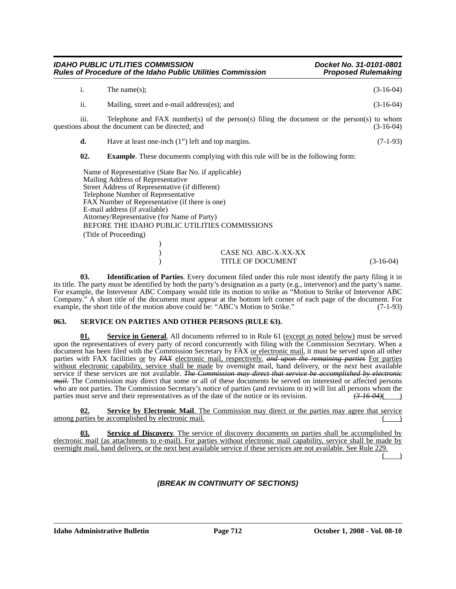|                | <b>IDAHO PUBLIC UTLITIES COMMISSION</b><br><b>Rules of Procedure of the Idaho Public Utilities Commission</b>                                                                                                                                                                                                                                                                                  | Docket No. 31-0101-0801<br><b>Proposed Rulemaking</b>                                                    |
|----------------|------------------------------------------------------------------------------------------------------------------------------------------------------------------------------------------------------------------------------------------------------------------------------------------------------------------------------------------------------------------------------------------------|----------------------------------------------------------------------------------------------------------|
| $\mathbf{i}$ . | The name $(s)$ ;                                                                                                                                                                                                                                                                                                                                                                               | $(3-16-04)$                                                                                              |
| ii.            | Mailing, street and e-mail address(es); and                                                                                                                                                                                                                                                                                                                                                    | $(3-16-04)$                                                                                              |
| 111.           | questions about the document can be directed; and                                                                                                                                                                                                                                                                                                                                              | Telephone and FAX number(s) of the person(s) filing the document or the person(s) to whom<br>$(3-16-04)$ |
| d.             | Have at least one-inch (1") left and top margins.                                                                                                                                                                                                                                                                                                                                              | $(7-1-93)$                                                                                               |
| 02.            | <b>Example.</b> These documents complying with this rule will be in the following form:                                                                                                                                                                                                                                                                                                        |                                                                                                          |
|                | Name of Representative (State Bar No. if applicable)<br>Mailing Address of Representative<br>Street Address of Representative (if different)<br>Telephone Number of Representative<br>FAX Number of Representative (if there is one)<br>E-mail address (if available)<br>Attorney/Representative (for Name of Party)<br>BEFORE THE IDAHO PUBLIC UTILITIES COMMISSIONS<br>(Title of Proceeding) |                                                                                                          |
|                |                                                                                                                                                                                                                                                                                                                                                                                                | CASE NO. ABC-X-XX-XX<br><b>TITLE OF DOCUMENT</b><br>$(3-16-04)$                                          |

**03. Identification of Parties**. Every document filed under this rule must identify the party filing it in its title. The party must be identified by both the party's designation as a party (e.g., intervenor) and the party's name. For example, the Intervenor ABC Company would title its motion to strike as "Motion to Strike of Intervenor ABC Company." A short title of the document must appear at the bottom left corner of each page of the document. For example, the short title of the motion above could be: "ABC's Motion to Strike." (7-1-93) example, the short title of the motion above could be: "ABC's Motion to Strike."

#### **063. SERVICE ON PARTIES AND OTHER PERSONS (RULE 63).**

**01. Service in General**. All documents referred to in Rule 61 (except as noted below) must be served upon the representatives of every party of record concurrently with filing with the Commission Secretary. When a document has been filed with the Commission Secretary by FAX or electronic mail, it must be served upon all other parties with FAX facilities or by *FAX* electronic mail, respectively. *and upon the remaining parties* For parties without electronic capability, service shall be made by overnight mail, hand delivery, or the next best available service if these services are not available. *The Commission may direct that service be accomplished by electronic mail.* The Commission may direct that some or all of these documents be served on interested or affected persons who are not parties. The Commission Secretary's notice of parties (and revisions to it) will list all persons whom the parties must serve and their representatives as of the date of the notice or its revision.  $\left(3\right.16\$ parties must serve and their representatives as of the date of the notice or its revision.

**<u>Service by Electronic Mail.** The Commission may direct or the parties may agree that service</u> among parties be accomplished  $\overline{b}$  by electronic mail.

**03. Service of Discovery**. The service of discovery documents on parties shall be accomplished by electronic mail (as attachments to e-mail). For parties without electronic mail capability, service shall be made by overnight mail, hand delivery, or the next best available service if these services are not available. See Rule 229.

 $($  )

### *(BREAK IN CONTINUITY OF SECTIONS)*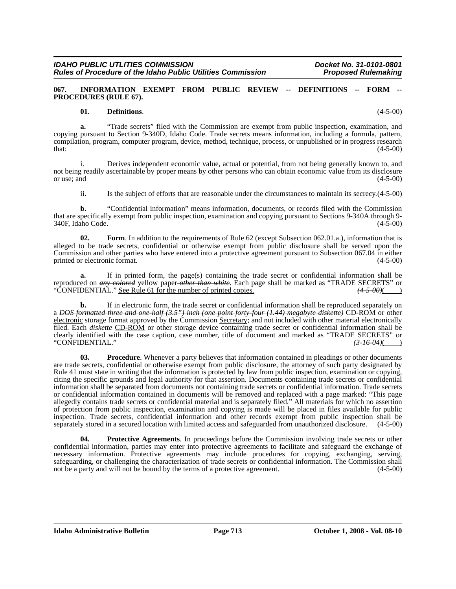#### **067. INFORMATION EXEMPT FROM PUBLIC REVIEW -- DEFINITIONS -- FORM -- PROCEDURES (RULE 67).**

#### **01. Definitions**. (4-5-00)

**a.** "Trade secrets" filed with the Commission are exempt from public inspection, examination, and copying pursuant to Section 9-340D, Idaho Code. Trade secrets means information, including a formula, pattern, compilation, program, computer program, device, method, technique, process, or unpublished or in progress research  $t$ hat:  $(4-5-00)$ 

i. Derives independent economic value, actual or potential, from not being generally known to, and not being readily ascertainable by proper means by other persons who can obtain economic value from its disclosure<br>or use; and (4-5-00) or use; and  $(4-5-00)$ 

ii. Is the subject of efforts that are reasonable under the circumstances to maintain its secrecy.(4-5-00)

**b.** "Confidential information" means information, documents, or records filed with the Commission that are specifically exempt from public inspection, examination and copying pursuant to Sections 9-340A through 9- 340F, Idaho Code. (4-5-00)

**02. Form**. In addition to the requirements of Rule 62 (except Subsection 062.01.a.), information that is alleged to be trade secrets, confidential or otherwise exempt from public disclosure shall be served upon the Commission and other parties who have entered into a protective agreement pursuant to Subsection 067.04 in either printed or electronic format.  $(4-5-00)$ 

**a.** If in printed form, the page(s) containing the trade secret or confidential information shall be reproduced on *any colored* yellow paper *other than white*. Each page shall be marked as "TRADE SECRETS" or "CONFIDENTIAL." See Rule 61 for the number of printed copies.  $(4-5-00)($ "CONFIDENTIAL." See Rule 61 for the number of printed copies.

**b.** If in electronic form, the trade secret or confidential information shall be reproduced separately on a *DOS formatted three and one-half (3.5") inch (one point forty-four (1.44) megabyte diskette)* CD-ROM or other electronic storage format approved by the Commission Secretary; and not included with other material electronically filed. Each *diskette* CD-ROM or other storage device containing trade secret or confidential information shall be clearly identified with the case caption, case number, title of document and marked as "TRADE SECRETS" or "CONFIDENTIAL." *(3-16-04)*( )

**03. Procedure**. Whenever a party believes that information contained in pleadings or other documents are trade secrets, confidential or otherwise exempt from public disclosure, the attorney of such party designated by Rule 41 must state in writing that the information is protected by law from public inspection, examination or copying, citing the specific grounds and legal authority for that assertion. Documents containing trade secrets or confidential information shall be separated from documents not containing trade secrets or confidential information. Trade secrets or confidential information contained in documents will be removed and replaced with a page marked: "This page allegedly contains trade secrets or confidential material and is separately filed." All materials for which no assertion of protection from public inspection, examination and copying is made will be placed in files available for public inspection. Trade secrets, confidential information and other records exempt from public inspection shall be separately stored in a secured location with limited access and safeguarded from unauthorized disclosure. (4-5-00)

**Protective Agreements**. In proceedings before the Commission involving trade secrets or other confidential information, parties may enter into protective agreements to facilitate and safeguard the exchange of necessary information. Protective agreements may include procedures for copying, exchanging, serving, safeguarding, or challenging the characterization of trade secrets or confidential information. The Commission shall not be a party and will not be bound by the terms of a protective agreement. (4-5-00)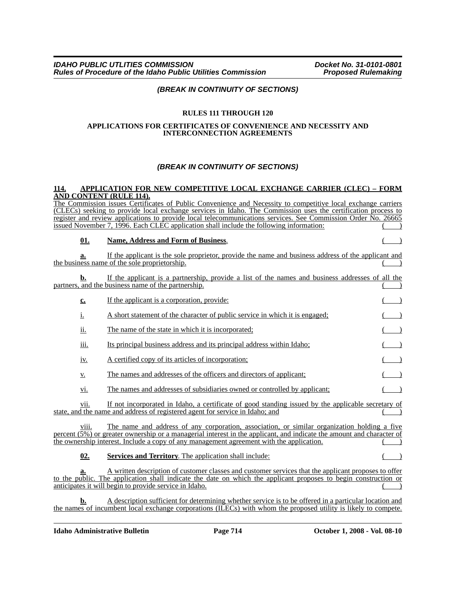### *(BREAK IN CONTINUITY OF SECTIONS)*

### **RULES 111 THROUGH 120**

#### **APPLICATIONS FOR CERTIFICATES OF CONVENIENCE AND NECESSITY AND INTERCONNECTION AGREEMENTS**

### *(BREAK IN CONTINUITY OF SECTIONS)*

#### **114. APPLICATION FOR NEW COMPETITIVE LOCAL EXCHANGE CARRIER (CLEC) – FORM AND CONTENT (RULE 114).**

The Commission issues Certificates of Public Convenience and Necessity to competitive local exchange carriers (CLECs) seeking to provide local exchange services in Idaho. The Commission uses the certification process to register and review applications to provide local telecommunications services. See Commission Order No. 26665 issued November 7, 1996. Each CLEC application shall include the following information: ( )

#### **01. Name, Address and Form of Business**. ( )

**a.** If the applicant is the sole proprietor, provide the name and business address of the applicant and the business name of the sole proprietorship.

|  |  |  |  | If the applicant is a partnership, provide a list of the names and business addresses of all the |  |  |  |  |  |  |
|--|--|--|--|--------------------------------------------------------------------------------------------------|--|--|--|--|--|--|
|  |  |  |  | partners, and the business name of the partnership.                                              |  |  |  |  |  |  |
|  |  |  |  |                                                                                                  |  |  |  |  |  |  |

| c.          | If the applicant is a corporation, provide:                                  |  |
|-------------|------------------------------------------------------------------------------|--|
| 1.          | A short statement of the character of public service in which it is engaged; |  |
| ii.         | The name of the state in which it is incorporated;                           |  |
| <u>iii.</u> | Its principal business address and its principal address within Idaho;       |  |
|             |                                                                              |  |

iv. A certified copy of its articles of incorporation;

v. The names and addresses of the officers and directors of applicant; ( )

vi. The names and addresses of subsidiaries owned or controlled by applicant;

vii. If not incorporated in Idaho, a certificate of good standing issued by the applicable secretary of state, and the name and address of registered agent for service in Idaho; and

viii. The name and address of any corporation, association, or similar organization holding a five percent (5%) or greater ownership or a managerial interest in the applicant, and indicate the amount and character of the ownership interest. Include a copy of any management agreement with the application.

**02. Services and Territory**. The application shall include:

**a.** A written description of customer classes and customer services that the applicant proposes to offer to the public. The application shall indicate the date on which the applicant proposes to begin construction or anticipates it will begin to provide service in Idaho.

**b.** A description sufficient for determining whether service is to be offered in a particular location and the names of incumbent local exchange corporations (ILECs) with whom the proposed utility is likely to compete.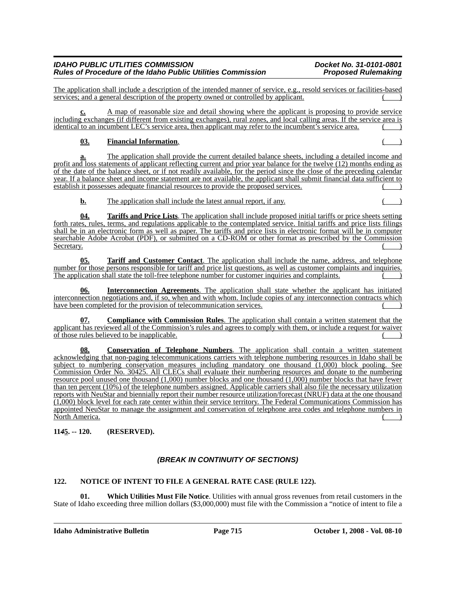The application shall include a description of the intended manner of service, e.g., resold services or facilities-based services; and a general description of the property owned or controlled by applicant.

**c.** A map of reasonable size and detail showing where the applicant is proposing to provide service including exchanges (if different from existing exchanges), rural zones, and local calling areas. If the service area is identical to an incumbent LEC's service area, then applicant may refer to the incumbent's service area.

# **03. Financial Information**. ( )

**a.** The application shall provide the current detailed balance sheets, including a detailed income and profit and loss statements of applicant reflecting current and prior year balance for the twelve (12) months ending as of the date of the balance sheet, or if not readily available, for the period since the close of the preceding calendar year. If a balance sheet and income statement are not available, the applicant shall submit financial data sufficient to establish it possesses adequate financial resources to provide the proposed services.

**b.** The application shall include the latest annual report, if any. () ()

**04. Tariffs and Price Lists**. The application shall include proposed initial tariffs or price sheets setting forth rates, rules, terms, and regulations applicable to the contemplated service. Initial tariffs and price lists filings shall be in an electronic form as well as paper. The tariffs and price lists in electronic format will be in computer searchable Adobe Acrobat (PDF), or submitted on a CD-ROM or other format as prescribed by the Commission Secretary. ( )

**05. Tariff and Customer Contact**. The application shall include the name, address, and telephone number for those persons responsible for tariff and price list questions, as well as customer complaints and inquiries. The application shall state the toll-free telephone number for customer inquiries and complaints.

**06. Interconnection Agreements**. The application shall state whether the applicant has initiated interconnection negotiations and, if so, when and with whom. Include copies of any interconnection contracts which have been completed for the provision of telecommunication services.

**07. Compliance with Commission Rules**. The application shall contain a written statement that the applicant has reviewed all of the Commission's rules and agrees to comply with them, or include a request for waiver of those rules believed to be inapplicable. ( )

**08. Conservation of Telephone Numbers**. The application shall contain a written statement acknowledging that non-paging telecommunications carriers with telephone numbering resources in Idaho shall be subject to numbering conservation measures including mandatory one thousand (1,000) block pooling. See Commission Order No. 30425. All CLECs shall evaluate their numbering resources and donate to the numbering resource pool unused one thousand (1,000) number blocks and one thousand (1,000) number blocks that have fewer than ten percent (10%) of the telephone numbers assigned. Applicable carriers shall also file the necessary utilization reports with NeuStar and biennially report their number resource utilization/forecast (NRUF) data at the one thousand (1,000) block level for each rate center within their service territory. The Federal Communications Commission has appointed NeuStar to manage the assignment and conservation of telephone area codes and telephone numbers in North America. ( )

# **11***4***5. -- 120. (RESERVED).**

# *(BREAK IN CONTINUITY OF SECTIONS)*

# **122. NOTICE OF INTENT TO FILE A GENERAL RATE CASE (RULE 122).**

**01. Which Utilities Must File Notice**. Utilities with annual gross revenues from retail customers in the State of Idaho exceeding three million dollars (\$3,000,000) must file with the Commission a "notice of intent to file a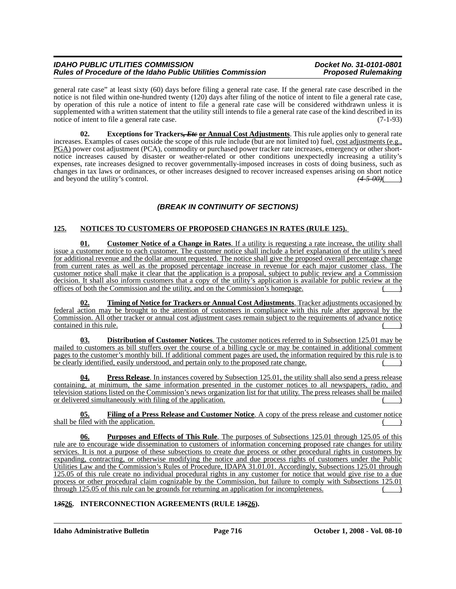### *IDAHO PUBLIC UTLITIES COMMISSION*<br>Rules of Procedure of the Idaho Public Utilities Commission Proposed Rulemaking *Rules of Procedure of the Idaho Public Utilities Commission*

general rate case" at least sixty (60) days before filing a general rate case. If the general rate case described in the notice is not filed within one-hundred twenty (120) days after filing of the notice of intent to file a general rate case, by operation of this rule a notice of intent to file a general rate case will be considered withdrawn unless it is supplemented with a written statement that the utility still intends to file a general rate case of the kind described in its notice of intent to file a general rate case.  $(7-1-93)$ 

**02.** Exceptions for Trackers, *Ete* or Annual Cost Adjustments. This rule applies only to general rate increases. Examples of cases outside the scope of this rule include (but are not limited to) fuel, cost adjustments (e.g., PGA) power cost adjustment (PCA), commodity or purchased power tracker rate increases, emergency or other shortnotice increases caused by disaster or weather-related or other conditions unexpectedly increasing a utility's expenses, rate increases designed to recover governmentally-imposed increases in costs of doing business, such as changes in tax laws or ordinances, or other increases designed to recover increased expenses arising on short notice<br>and beyond the utility's control.  $(4-5-00)($ and beyond the utility's control.

# *(BREAK IN CONTINUITY OF SECTIONS)*

# **125. NOTICES TO CUSTOMERS OF PROPOSED CHANGES IN RATES (RULE 125).**

**01. Customer Notice of a Change in Rates**. If a utility is requesting a rate increase, the utility shall issue a customer notice to each customer. The customer notice shall include a brief explanation of the utility's need for additional revenue and the dollar amount requested. The notice shall give the proposed overall percentage change from current rates as well as the proposed percentage increase in revenue for each major customer class. The customer notice shall make it clear that the application is a proposal, subject to public review and a Commission decision. It shall also inform customers that a copy of the utility's application is available for public review at the offices of both the Commission and the utility, and on the Commission's homepage. ( )

**02. Timing of Notice for Trackers or Annual Cost Adjustments**. Tracker adjustments occasioned by federal action may be brought to the attention of customers in compliance with this rule after approval by the Commission. All other tracker or annual cost adjustment cases remain subject to the requirements of advance notice contained in this rule.

**03. Distribution of Customer Notices**. The customer notices referred to in Subsection 125.01 may be mailed to customers as bill stuffers over the course of a billing cycle or may be contained in additional comment pages to the customer's monthly bill. If additional comment pages are used, the information required by this rule is to be clearly identified, easily understood, and pertain only to the proposed rate change.

**04. Press Release**. In instances covered by Subsection 125.01, the utility shall also send a press release containing, at minimum, the same information presented in the customer notices to all newspapers, radio, and television stations listed on the Commission's news organization list for that utility. The press releases shall be mailed or delivered simultaneously with filing of the application.

**05. Filing of a Press Release and Customer Notice**. A copy of the press release and customer notice shall be filed with the application.

**06. Purposes and Effects of This Rule**. The purposes of Subsections 125.01 through 125.05 of this rule are to encourage wide dissemination to customers of information concerning proposed rate changes for utility services. It is not a purpose of these subsections to create due process or other procedural rights in customers by expanding, contracting, or otherwise modifying the notice and due process rights of customers under the Public Utilities Law and the Commission's Rules of Procedure, IDAPA 31.01.01. Accordingly, Subsections 125.01 through 125.05 of this rule create no individual procedural rights in any customer for notice that would give rise to a due process or other procedural claim cognizable by the Commission, but failure to comply with Subsections 125.01 through 125.05 of this rule can be grounds for returning an application for incompleteness. ( )

### **1***35***26. INTERCONNECTION AGREEMENTS (RULE 1***35***26).**

**Idaho Administrative Bulletin Page 716 October 1, 2008 - Vol. 08-10**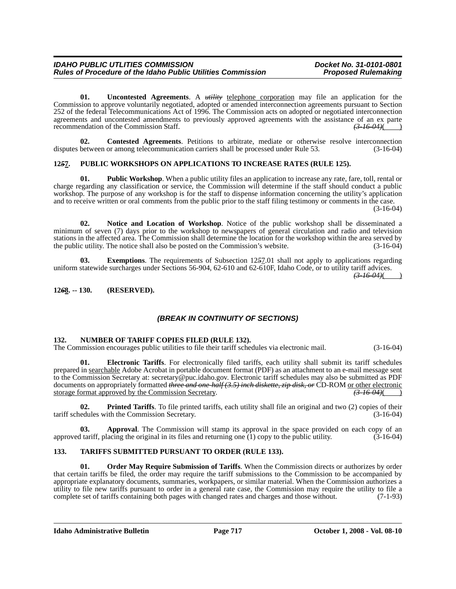**01. Uncontested Agreements**. A *utility* telephone corporation may file an application for the Commission to approve voluntarily negotiated, adopted or amended interconnection agreements pursuant to Section 252 of the federal Telecommunications Act of 1996. The Commission acts on adopted or negotiated interconnection agreements and uncontested amendments to previously approved agreements with the assistance of an ex parte recommendation of the Commission Staff. *(3-16-04)*( )

**02. Contested Agreements**. Petitions to arbitrate, mediate or otherwise resolve interconnection disputes between or among telecommunication carriers shall be processed under Rule 53. (3-16-04)

### **12***5***7. PUBLIC WORKSHOPS ON APPLICATIONS TO INCREASE RATES (RULE 125).**

**01. Public Workshop**. When a public utility files an application to increase any rate, fare, toll, rental or charge regarding any classification or service, the Commission will determine if the staff should conduct a public workshop. The purpose of any workshop is for the staff to dispense information concerning the utility's application and to receive written or oral comments from the public prior to the staff filing testimony or comments in the case. (3-16-04)

**02. Notice and Location of Workshop**. Notice of the public workshop shall be disseminated a minimum of seven (7) days prior to the workshop to newspapers of general circulation and radio and television stations in the affected area. The Commission shall determine the location for the workshop within the area served by the public utility. The notice shall also be posted on the Commission's website. (3-16-04) the public utility. The notice shall also be posted on the Commission's website.

**03. Exemptions**. The requirements of Subsection 12*5*7.01 shall not apply to applications regarding uniform statewide surcharges under Sections 56-904, 62-610 and 62-610F, Idaho Code, or to utility tariff advices.

 $(3-16-04)$ ( )

#### **12***6***8. -- 130. (RESERVED).**

### *(BREAK IN CONTINUITY OF SECTIONS)*

#### **132. NUMBER OF TARIFF COPIES FILED (RULE 132).**

The Commission encourages public utilities to file their tariff schedules via electronic mail. (3-16-04)

**01. Electronic Tariffs**. For electronically filed tariffs, each utility shall submit its tariff schedules prepared in searchable Adobe Acrobat in portable document format (PDF) as an attachment to an e-mail message sent to the Commission Secretary at: secretary@puc.idaho.gov. Electronic tariff schedules may also be submitted as PDF documents on appropriately formatted *three and one-half (3.5) inch diskette, zip disk, or* CD-ROM or other electronic storage format approved by the Commission Secretary. *(3-16-04)*( )

**02. Printed Tariffs**. To file printed tariffs, each utility shall file an original and two (2) copies of their tariff schedules with the Commission Secretary. (3-16-04)

**03. Approval**. The Commission will stamp its approval in the space provided on each copy of an approved tariff, placing the original in its files and returning one  $(1)$  copy to the public utility.  $(3-16-04)$ 

#### **133. TARIFFS SUBMITTED PURSUANT TO ORDER (RULE 133).**

**01. Order May Require Submission of Tariffs**. When the Commission directs or authorizes by order that certain tariffs be filed, the order may require the tariff submissions to the Commission to be accompanied by appropriate explanatory documents, summaries, workpapers, or similar material. When the Commission authorizes a utility to file new tariffs pursuant to order in a general rate case, the Commission may require the utility to file a complete set of tariffs containing both pages with changed rates and charges and those without. (7-1-93)

**Idaho Administrative Bulletin Page 717 October 1, 2008 - Vol. 08-10**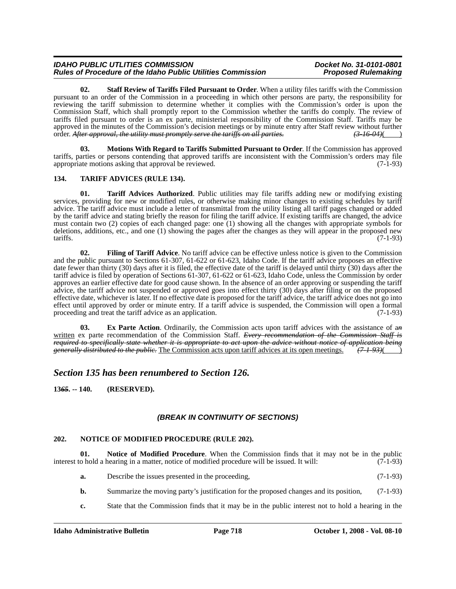#### *IDAHO PUBLIC UTLITIES COMMISSION*<br>Rules of Procedure of the Idaho Public Utilities Commission **Discussion** Proposed Rulemaking *Rules of Procedure of the Idaho Public Utilities Commission*

**02. Staff Review of Tariffs Filed Pursuant to Order**. When a utility files tariffs with the Commission pursuant to an order of the Commission in a proceeding in which other persons are party, the responsibility for reviewing the tariff submission to determine whether it complies with the Commission's order is upon the Commission Staff, which shall promptly report to the Commission whether the tariffs do comply. The review of tariffs filed pursuant to order is an ex parte, ministerial responsibility of the Commission Staff. Tariffs may be approved in the minutes of the Commission's decision meetings or by minute entry after Staff review without further order. After approval, the utility must promptly serve the tariffs on all parties.  $(3-16-04)($ order. *After approval, the utility must promptly serve the tariffs on all parties.* 

**03. Motions With Regard to Tariffs Submitted Pursuant to Order**. If the Commission has approved tariffs, parties or persons contending that approved tariffs are inconsistent with the Commission's orders may file appropriate motions asking that approval be reviewed.

# **134. TARIFF ADVICES (RULE 134).**

**01. Tariff Advices Authorized**. Public utilities may file tariffs adding new or modifying existing services, providing for new or modified rules, or otherwise making minor changes to existing schedules by tariff advice. The tariff advice must include a letter of transmittal from the utility listing all tariff pages changed or added by the tariff advice and stating briefly the reason for filing the tariff advice. If existing tariffs are changed, the advice must contain two (2) copies of each changed page: one (1) showing all the changes with appropriate symbols for deletions, additions, etc., and one (1) showing the pages after the changes as they will appear in the proposed new tariffs.  $(7-1-93)$ 

**02. Filing of Tariff Advice**. No tariff advice can be effective unless notice is given to the Commission and the public pursuant to Sections 61-307, 61-622 or 61-623, Idaho Code. If the tariff advice proposes an effective date fewer than thirty (30) days after it is filed, the effective date of the tariff is delayed until thirty (30) days after the tariff advice is filed by operation of Sections 61-307, 61-622 or 61-623, Idaho Code, unless the Commission by order approves an earlier effective date for good cause shown. In the absence of an order approving or suspending the tariff advice, the tariff advice not suspended or approved goes into effect thirty (30) days after filing or on the proposed effective date, whichever is later. If no effective date is proposed for the tariff advice, the tariff advice does not go into effect until approved by order or minute entry. If a tariff advice is suspended, the Commission will open a formal proceeding and treat the tariff advice as an application. (7-1-93) proceeding and treat the tariff advice as an application.

**Ex Parte Action**. Ordinarily, the Commission acts upon tariff advices with the assistance of an written ex parte recommendation of the Commission Staff. *Every recommendation of the Commission Staff is required to specifically state whether it is appropriate to act upon the advice without notice of application being generally distributed to the public.* The Commission acts upon tariff advices at its open meetings. *(7-1-93)*( )

# *Section 135 has been renumbered to Section 126.*

**13***65***. -- 140. (RESERVED).**

# *(BREAK IN CONTINUITY OF SECTIONS)*

### **202. NOTICE OF MODIFIED PROCEDURE (RULE 202).**

**01. Notice of Modified Procedure**. When the Commission finds that it may not be in the public interest to hold a hearing in a matter, notice of modified procedure will be issued. It will: (7-1-93)

- **a.** Describe the issues presented in the proceeding,  $(7-1-93)$
- **b.** Summarize the moving party's justification for the proposed changes and its position,  $(7-1-93)$
- **c.** State that the Commission finds that it may be in the public interest not to hold a hearing in the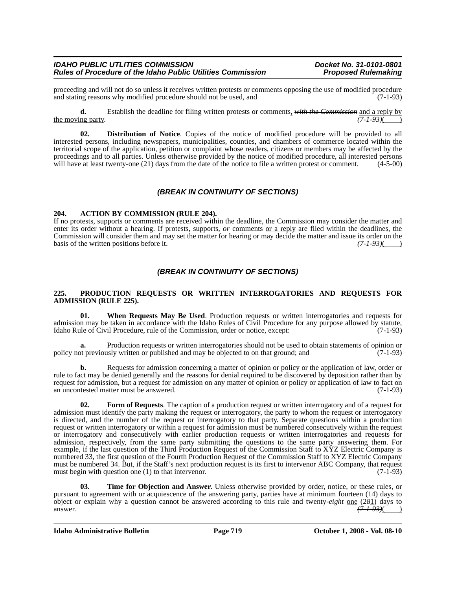proceeding and will not do so unless it receives written protests or comments opposing the use of modified procedure<br>and stating reasons why modified procedure should not be used, and (7-1-93) and stating reasons why modified procedure should not be used, and

**d.** Establish the deadline for filing written protests or comments, *with the Commission* and a reply by the moving party.  $(7.1-93)$ (

**02. Distribution of Notice**. Copies of the notice of modified procedure will be provided to all interested persons, including newspapers, municipalities, counties, and chambers of commerce located within the territorial scope of the application, petition or complaint whose readers, citizens or members may be affected by the proceedings and to all parties. Unless otherwise provided by the notice of modified procedure, all interested persons will have at least twenty-one (21) days from the date of the notice to file a written protest or comment. (4-5-00)

# *(BREAK IN CONTINUITY OF SECTIONS)*

#### **204. ACTION BY COMMISSION (RULE 204).**

If no protests, supports or comments are received within the deadline, the Commission may consider the matter and enter its order without a hearing. If protests, supports,  $\theta$ r comments <u>or a reply</u> are filed within the deadlines, the Commission will consider them and may set the matter for hearing or may decide the matter and issue its order on the basis of the written positions before it. basis of the written positions before it.

# *(BREAK IN CONTINUITY OF SECTIONS)*

#### **225. PRODUCTION REQUESTS OR WRITTEN INTERROGATORIES AND REQUESTS FOR ADMISSION (RULE 225).**

**01. When Requests May Be Used**. Production requests or written interrogatories and requests for admission may be taken in accordance with the Idaho Rules of Civil Procedure for any purpose allowed by statute,<br>Idaho Rule of Civil Procedure, rule of the Commission, order or notice, except: (7-1-93) Idaho Rule of Civil Procedure, rule of the Commission, order or notice, except:

**a.** Production requests or written interrogatories should not be used to obtain statements of opinion or policy not previously written or published and may be objected to on that ground; and  $(7-1-93)$ 

**b.** Requests for admission concerning a matter of opinion or policy or the application of law, order or rule to fact may be denied generally and the reasons for denial required to be discovered by deposition rather than by request for admission, but a request for admission on any matter of opinion or policy or application of law to fact on an uncontested matter must be answered. (7-1-93)

**02. Form of Requests**. The caption of a production request or written interrogatory and of a request for admission must identify the party making the request or interrogatory, the party to whom the request or interrogatory is directed, and the number of the request or interrogatory to that party. Separate questions within a production request or written interrogatory or within a request for admission must be numbered consecutively within the request or interrogatory and consecutively with earlier production requests or written interrogatories and requests for admission, respectively, from the same party submitting the questions to the same party answering them. For example, if the last question of the Third Production Request of the Commission Staff to XYZ Electric Company is numbered 33, the first question of the Fourth Production Request of the Commission Staff to XYZ Electric Company must be numbered 34. But, if the Staff's next production request is its first to intervenor ABC Company, that request must begin with question one (1) to that intervenor. (7-1-93) must begin with question one  $(1)$  to that intervenor.

**03. Time for Objection and Answer**. Unless otherwise provided by order, notice, or these rules, or pursuant to agreement with or acquiescence of the answering party, parties have at minimum fourteen (14) days to object or explain why a question cannot be answered according to this rule and twenty- $e^{i}$ ght <u>one</u> (281) days to answer. answer. *(7-1-93)*( )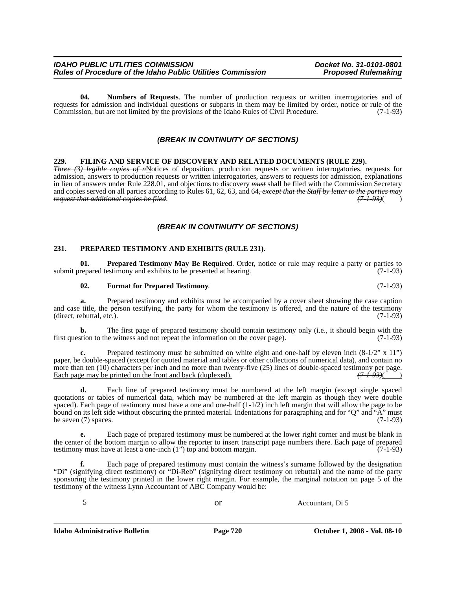**04. Numbers of Requests**. The number of production requests or written interrogatories and of requests for admission and individual questions or subparts in them may be limited by order, notice or rule of the<br>Commission, but are not limited by the provisions of the Idaho Rules of Civil Procedure. (7-1-93) Commission, but are not limited by the provisions of the Idaho Rules of Civil Procedure.

# *(BREAK IN CONTINUITY OF SECTIONS)*

#### **229. FILING AND SERVICE OF DISCOVERY AND RELATED DOCUMENTS (RULE 229).**

*Three (3) legible copies of n*Notices of deposition, production requests or written interrogatories, requests for admission, answers to production requests or written interrogatories, answers to requests for admission, explanations in lieu of answers under Rule 228.01, and objections to discovery *must* shall be filed with the Commission Secretary and copies served on all parties according to Rules 61, 62, 63, and 64, except that the Staff by letter to the parties may<br>
request that additional copies be filed. *request that additional copies be filed.* 

### *(BREAK IN CONTINUITY OF SECTIONS)*

#### **231. PREPARED TESTIMONY AND EXHIBITS (RULE 231).**

**01. Prepared Testimony May Be Required**. Order, notice or rule may require a party or parties to repared testimony and exhibits to be presented at hearing. (7-1-93) submit prepared testimony and exhibits to be presented at hearing.

#### **02. Format for Prepared Testimony**. (7-1-93)

**a.** Prepared testimony and exhibits must be accompanied by a cover sheet showing the case caption and case title, the person testifying, the party for whom the testimony is offered, and the nature of the testimony  $(\text{direct}, \text{rebuttal}, \text{etc.}).$  (7-1-93)

**b.** The first page of prepared testimony should contain testimony only (i.e., it should begin with the first question to the witness and not repeat the information on the cover page). (7-1-93)

Prepared testimony must be submitted on white eight and one-half by eleven inch  $(8-1/2" \times 11")$ paper, be double-spaced (except for quoted material and tables or other collections of numerical data), and contain no more than ten (10) characters per inch and no more than twenty-five (25) lines of double-spaced testimony per page.<br>Each page may be printed on the front and back (duplexed).  $(7-1-93)($ Each page may be printed on the front and back (duplexed).

**d.** Each line of prepared testimony must be numbered at the left margin (except single spaced quotations or tables of numerical data, which may be numbered at the left margin as though they were double spaced). Each page of testimony must have a one and one-half (1-1/2) inch left margin that will allow the page to be bound on its left side without obscuring the printed material. Indentations for paragraphing and for "Q" and "A" must be seven (7) spaces.  $(7-1-93)$ 

**e.** Each page of prepared testimony must be numbered at the lower right corner and must be blank in the center of the bottom margin to allow the reporter to insert transcript page numbers there. Each page of prepared testimony must have at least a one-inch (1") top and bottom margin. (7-1-93) testimony must have at least a one-inch  $(1)$  top and bottom margin.

**f.** Each page of prepared testimony must contain the witness's surname followed by the designation "Di" (signifying direct testimony) or "Di-Reb" (signifying direct testimony on rebuttal) and the name of the party sponsoring the testimony printed in the lower right margin. For example, the marginal notation on page 5 of the testimony of the witness Lynn Accountant of ABC Company would be:

5 or Accountant, Di 5

**Idaho Administrative Bulletin Page 720 October 1, 2008 - Vol. 08-10**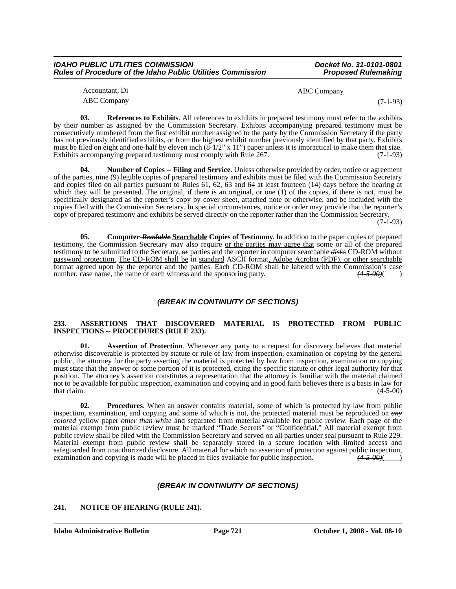| <b>IDAHO PUBLIC UTLITIES COMMISSION</b>                            |  |
|--------------------------------------------------------------------|--|
| <b>Rules of Procedure of the Idaho Public Utilities Commission</b> |  |

*IDAHO PUBLIC UTLITIES COMMISSION Docket No. 31-0101-0801* **Proposed Rulemaking** 

| Accountant, Di     | ABC Company |
|--------------------|-------------|
| <b>ABC Company</b> | $(7-1-93)$  |

**03.** References to Exhibits. All references to exhibits in prepared testimony must refer to the exhibits by their number as assigned by the Commission Secretary. Exhibits accompanying prepared testimony must be consecutively numbered from the first exhibit number assigned to the party by the Commission Secretary if the party has not previously identified exhibits, or from the highest exhibit number previously identified by that party. Exhibits must be filed on eight and one-half by eleven inch  $(\overline{8} - 1/2$ " x 11") paper unless it is impractical to make them that size.<br>Exhibits accompanying prepared testimony must comply with Rule 267. Exhibits accompanying prepared testimony must comply with Rule 267.

**04. Number of Copies -- Filing and Service**. Unless otherwise provided by order, notice or agreement of the parties, nine (9) legible copies of prepared testimony and exhibits must be filed with the Commission Secretary and copies filed on all parties pursuant to Rules 61, 62, 63 and 64 at least fourteen (14) days before the hearing at which they will be presented. The original, if there is an original, or one (1) of the copies, if there is not, must be specifically designated as the reporter's copy by cover sheet, attached note or otherwise, and be included with the copies filed with the Commission Secretary. In special circumstances, notice or order may provide that the reporter's copy of prepared testimony and exhibits be served directly on the reporter rather than the Commission Secretary.

 $(7-1-93)$ 

**05. Computer-***Readable* **Searchable Copies of Testimony**. In addition to the paper copies of prepared testimony, the Commission Secretary may also require or the parties may agree that some or all of the prepared testimony to be submitted to the Secretary, *or* parties and the reporter in computer searchable *disks* CD-ROM without password protection. The CD-ROM shall be in standard ASCII format, Adobe Acrobat (PDF), or other searchable format agreed upon by the reporter and the parties. Each CD-ROM shall be labeled with the Commission's case number, case name, the name of each witness and the sponsoring party.  $(4-5-00)$  (4-5-00)

# *(BREAK IN CONTINUITY OF SECTIONS)*

#### **233. ASSERTIONS THAT DISCOVERED MATERIAL IS PROTECTED FROM PUBLIC INSPECTIONS -- PROCEDURES (RULE 233).**

**01. Assertion of Protection**. Whenever any party to a request for discovery believes that material otherwise discoverable is protected by statute or rule of law from inspection, examination or copying by the general public, the attorney for the party asserting the material is protected by law from inspection, examination or copying must state that the answer or some portion of it is protected, citing the specific statute or other legal authority for that position. The attorney's assertion constitutes a representation that the attorney is familiar with the material claimed not to be available for public inspection, examination and copying and in good faith believes there is a basis in law for that claim.  $(4-5-00)$ 

**02. Procedures**. When an answer contains material, some of which is protected by law from public inspection, examination, and copying and some of which is not, the protected material must be reproduced on *any colored* yellow paper *other than white* and separated from material available for public review. Each page of the material exempt from public review must be marked "Trade Secrets" or "Confidential." All material exempt from public review shall be filed with the Commission Secretary and served on all parties under seal pursuant to Rule 229. Material exempt from public review shall be separately stored in a secure location with limited access and safeguarded from unauthorized disclosure. All material for which no assertion of protection against public inspection, examination and copying is made will be placed in files available for public inspection.  $(4-5-00)($ examination and copying is made will be placed in files available for public inspection.

### *(BREAK IN CONTINUITY OF SECTIONS)*

# **241. NOTICE OF HEARING (RULE 241).**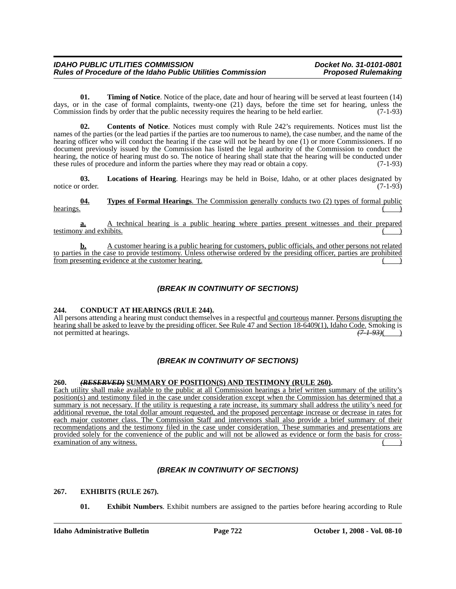**01.** Timing of Notice. Notice of the place, date and hour of hearing will be served at least fourteen (14) days, or in the case of formal complaints, twenty-one (21) days, before the time set for hearing, unless the Commission finds by order that the public necessity requires the hearing to be held earlier. (7-1-93) Commission finds by order that the public necessity requires the hearing to be held earlier.

**02. Contents of Notice**. Notices must comply with Rule 242's requirements. Notices must list the names of the parties (or the lead parties if the parties are too numerous to name), the case number, and the name of the hearing officer who will conduct the hearing if the case will not be heard by one (1) or more Commissioners. If no document previously issued by the Commission has listed the legal authority of the Commission to conduct the hearing, the notice of hearing must do so. The notice of hearing shall state that the hearing will be conducted under these rules of procedure and inform the parties where they may read or obtain a copy. (7-1-93) these rules of procedure and inform the parties where they may read or obtain a copy.

**03. Locations of Hearing**. Hearings may be held in Boise, Idaho, or at other places designated by notice or order. (7-1-93)

**04. Types of Formal Hearings**. The Commission generally conducts two (2) types of formal public ( $\overrightarrow{ }$ ) hearings.  $\left(\begin{array}{cc} \bullet & \bullet \\ \bullet & \bullet \end{array}\right)$ 

**a.** A technical hearing is a public hearing where parties present witnesses and their prepared testimony and exhibits.

**b.** A customer hearing is a public hearing for customers, public officials, and other persons not related to parties in the case to provide testimony. Unless otherwise ordered by the presiding officer, parties are prohibited from presenting evidence at the customer hearing.

# *(BREAK IN CONTINUITY OF SECTIONS)*

### **244. CONDUCT AT HEARINGS (RULE 244).**

All persons attending a hearing must conduct themselves in a respectful and courteous manner. Persons disrupting the hearing shall be asked to leave by the presiding officer. See Rule 47 and Section 18-6409(1), Idaho Code. Smoking is not permitted at hearings. not permitted at hearings.  $(7-1-93)$  (b)

# *(BREAK IN CONTINUITY OF SECTIONS)*

### **260.** *(RESERVED)* **SUMMARY OF POSITION(S) AND TESTIMONY (RULE 260).**

Each utility shall make available to the public at all Commission hearings a brief written summary of the utility's position(s) and testimony filed in the case under consideration except when the Commission has determined that a summary is not necessary. If the utility is requesting a rate increase, its summary shall address the utility's need for additional revenue, the total dollar amount requested, and the proposed percentage increase or decrease in rates for each major customer class. The Commission Staff and intervenors shall also provide a brief summary of their recommendations and the testimony filed in the case under consideration. These summaries and presentations are provided solely for the convenience of the public and will not be allowed as evidence or form the basis for crossexamination of any witness.

# *(BREAK IN CONTINUITY OF SECTIONS)*

### **267. EXHIBITS (RULE 267).**

**01. Exhibit Numbers**. Exhibit numbers are assigned to the parties before hearing according to Rule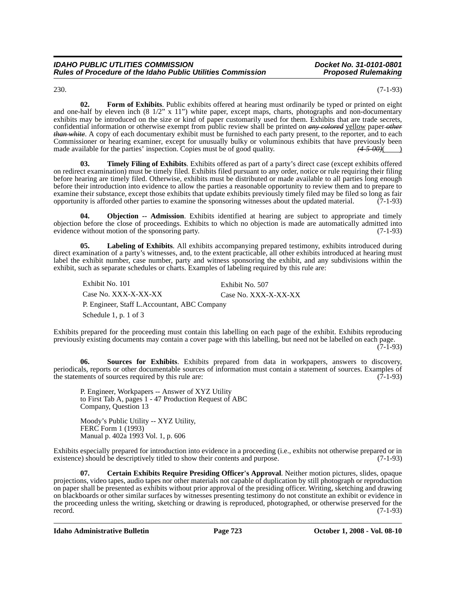230. (7-1-93)

**02. Form of Exhibits**. Public exhibits offered at hearing must ordinarily be typed or printed on eight and one-half by eleven inch  $(8\ 1/2" \times 11")$  white paper, except maps, charts, photographs and non-documentary exhibits may be introduced on the size or kind of paper customarily used for them. Exhibits that are trade secrets, confidential information or otherwise exempt from public review shall be printed on *any colored* yellow paper *other than white*. A copy of each documentary exhibit must be furnished to each party present, to the reporter, and to each Commissioner or hearing examiner, except for unusually bulky or voluminous exhibits that have previously been made available for the parties' inspection. Copies must be of good quality.  $(4-5-00)(\overline{\phantom{0}})$ made available for the parties' inspection. Copies must be of good quality.

**03. Timely Filing of Exhibits**. Exhibits offered as part of a party's direct case (except exhibits offered on redirect examination) must be timely filed. Exhibits filed pursuant to any order, notice or rule requiring their filing before hearing are timely filed. Otherwise, exhibits must be distributed or made available to all parties long enough before their introduction into evidence to allow the parties a reasonable opportunity to review them and to prepare to examine their substance, except those exhibits that update exhibits previously timely filed may be filed so long as fair opportunity is afforded other parties to examine the sponsoring witnesses about the updated material. (7-1-93)

**04. Objection -- Admission**. Exhibits identified at hearing are subject to appropriate and timely objection before the close of proceedings. Exhibits to which no objection is made are automatically admitted into evidence without motion of the sponsoring party. (7-1-93)

**05. Labeling of Exhibits**. All exhibits accompanying prepared testimony, exhibits introduced during direct examination of a party's witnesses, and, to the extent practicable, all other exhibits introduced at hearing must label the exhibit number, case number, party and witness sponsoring the exhibit, and any subdivisions within the exhibit, such as separate schedules or charts. Examples of labeling required by this rule are:

Exhibit No. 101 Exhibit No. 507 Case No. XXX-X-XX-XX Case No. XXX-X-XX-XX P. Engineer, Staff L.Accountant, ABC Company Schedule 1, p. 1 of 3

Exhibits prepared for the proceeding must contain this labelling on each page of the exhibit. Exhibits reproducing previously existing documents may contain a cover page with this labelling, but need not be labelled on each page.  $(7-1-93)$ 

**06. Sources for Exhibits**. Exhibits prepared from data in workpapers, answers to discovery, periodicals, reports or other documentable sources of information must contain a statement of sources. Examples of the statements of sources required by this rule are: (7-1-93)

P. Engineer, Workpapers -- Answer of XYZ Utility to First Tab A, pages 1 - 47 Production Request of ABC Company, Question 13

Moody's Public Utility -- XYZ Utility, FERC Form 1 (1993) Manual p. 402a 1993 Vol. 1, p. 606

Exhibits especially prepared for introduction into evidence in a proceeding (i.e., exhibits not otherwise prepared or in existence) should be descriptively titled to show their contents and purpose. (7-1-93) existence) should be descriptively titled to show their contents and purpose.

**07. Certain Exhibits Require Presiding Officer's Approval**. Neither motion pictures, slides, opaque projections, video tapes, audio tapes nor other materials not capable of duplication by still photograph or reproduction on paper shall be presented as exhibits without prior approval of the presiding officer. Writing, sketching and drawing on blackboards or other similar surfaces by witnesses presenting testimony do not constitute an exhibit or evidence in the proceeding unless the writing, sketching or drawing is reproduced, photographed, or otherwise preserved for the record.  $(7-1-93)$